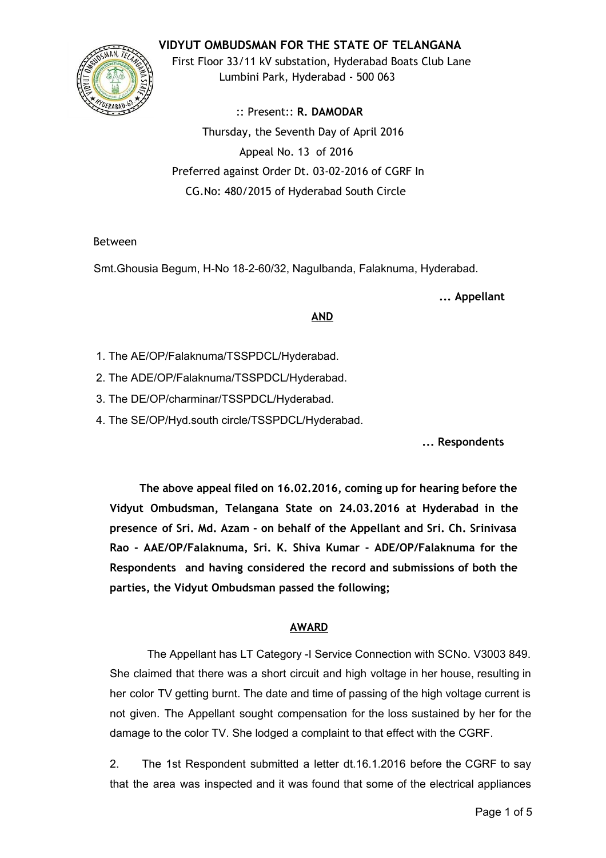**VIDYUT OMBUDSMAN FOR THE STATE OF TELANGANA**



First Floor 33/11 kV substation, Hyderabad Boats Club Lane Lumbini Park, Hyderabad ‐ 500 063

:: Present:: **R. DAMODAR** Thursday, the Seventh Day of April 2016 Appeal No. 13 of 2016 Preferred against Order Dt. 03‐02‐2016 of CGRF In CG.No: 480/2015 of Hyderabad South Circle

## Between

Smt.Ghousia Begum, H-No 18-2-60/32, Nagulbanda, Falaknuma, Hyderabad.

**... Appellant**

## **AND**

- 1. The AE/OP/Falaknuma/TSSPDCL/Hyderabad.
- 2. The ADE/OP/Falaknuma/TSSPDCL/Hyderabad.
- 3. The DE/OP/charminar/TSSPDCL/Hyderabad.
- 4. The SE/OP/Hyd.south circle/TSSPDCL/Hyderabad.

**... Respondents**

**The above appeal filed on 16.02.2016, coming up for hearing before the Vidyut Ombudsman, Telangana State on 24.03.2016 at Hyderabad in the presence of Sri. Md. Azam ‐ on behalf of the Appellant and Sri. Ch. Srinivasa Rao ‐ AAE/OP/Falaknuma, Sri. K. Shiva Kumar ‐ ADE/OP/Falaknuma for the Respondents and having considered the record and submissions of both the parties, the Vidyut Ombudsman passed the following;**

# **AWARD**

The Appellant has LT Category -I Service Connection with SCNo. V3003 849. She claimed that there was a short circuit and high voltage in her house, resulting in her color TV getting burnt. The date and time of passing of the high voltage current is not given. The Appellant sought compensation for the loss sustained by her for the damage to the color TV. She lodged a complaint to that effect with the CGRF.

2. The 1st Respondent submitted a letter dt.16.1.2016 before the CGRF to say that the area was inspected and it was found that some of the electrical appliances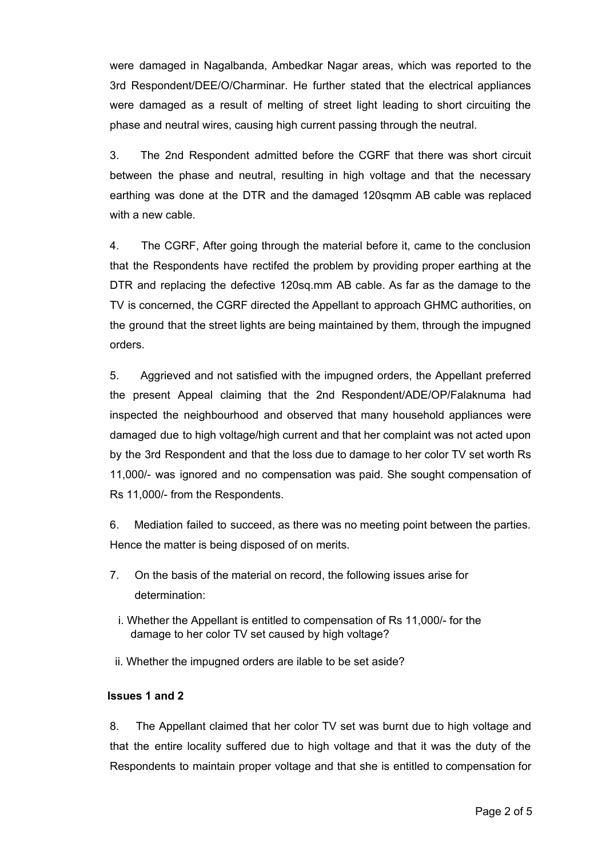were damaged in Nagalbanda, Ambedkar Nagar areas, which was reported to the 3rd Respondent/DEE/O/Charminar. He further stated that the electrical appliances were damaged as a result of melting of street light leading to short circuiting the phase and neutral wires, causing high current passing through the neutral.

3. The 2nd Respondent admitted before the CGRF that there was short circuit between the phase and neutral, resulting in high voltage and that the necessary earthing was done at the DTR and the damaged 120sqmm AB cable was replaced with a new cable.

4. The CGRF, After going through the material before it, came to the conclusion that the Respondents have rectifed the problem by providing proper earthing at the DTR and replacing the defective 120sq.mm AB cable. As far as the damage to the TV is concerned, the CGRF directed the Appellant to approach GHMC authorities, on the ground that the street lights are being maintained by them, through the impugned orders.

5. Aggrieved and not satisfied with the impugned orders, the Appellant preferred the present Appeal claiming that the 2nd Respondent/ADE/OP/Falaknuma had inspected the neighbourhood and observed that many household appliances were damaged due to high voltage/high current and that her complaint was not acted upon by the 3rd Respondent and that the loss due to damage to her color TV set worth Rs 11,000/- was ignored and no compensation was paid. She sought compensation of Rs 11,000/- from the Respondents.

6. Mediation failed to succeed, as there was no meeting point between the parties. Hence the matter is being disposed of on merits.

- 7. On the basis of the material on record, the following issues arise for determination:
	- i. Whether the Appellant is entitled to compensation of Rs 11,000/ for the damage to her color TV set caused by high voltage?
- ii. Whether the impugned orders are ilable to be set aside?

### **Issues 1 and 2**

8. The Appellant claimed that her color TV set was burnt due to high voltage and that the entire locality suffered due to high voltage and that it was the duty of the Respondents to maintain proper voltage and that she is entitled to compensation for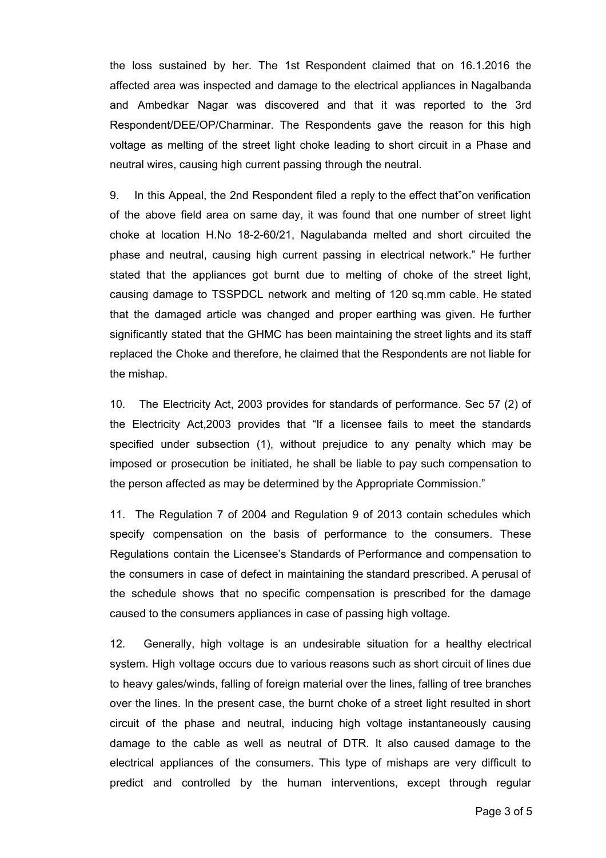the loss sustained by her. The 1st Respondent claimed that on 16.1.2016 the affected area was inspected and damage to the electrical appliances in Nagalbanda and Ambedkar Nagar was discovered and that it was reported to the 3rd Respondent/DEE/OP/Charminar. The Respondents gave the reason for this high voltage as melting of the street light choke leading to short circuit in a Phase and neutral wires, causing high current passing through the neutral.

9. In this Appeal, the 2nd Respondent filed a reply to the effect that"on verification of the above field area on same day, it was found that one number of street light choke at location H.No  $18-2-60/21$ , Nagulabanda melted and short circuited the phase and neutral, causing high current passing in electrical network." He further stated that the appliances got burnt due to melting of choke of the street light, causing damage to TSSPDCL network and melting of 120 sq.mm cable. He stated that the damaged article was changed and proper earthing was given. He further significantly stated that the GHMC has been maintaining the street lights and its staff replaced the Choke and therefore, he claimed that the Respondents are not liable for the mishap.

10. The Electricity Act, 2003 provides for standards of performance. Sec 57 (2) of the Electricity Act,2003 provides that "If a licensee fails to meet the standards specified under subsection (1), without prejudice to any penalty which may be imposed or prosecution be initiated, he shall be liable to pay such compensation to the person affected as may be determined by the Appropriate Commission."

11. The Regulation 7 of 2004 and Regulation 9 of 2013 contain schedules which specify compensation on the basis of performance to the consumers. These Regulations contain the Licensee's Standards of Performance and compensation to the consumers in case of defect in maintaining the standard prescribed. A perusal of the schedule shows that no specific compensation is prescribed for the damage caused to the consumers appliances in case of passing high voltage.

12. Generally, high voltage is an undesirable situation for a healthy electrical system. High voltage occurs due to various reasons such as short circuit of lines due to heavy gales/winds, falling of foreign material over the lines, falling of tree branches over the lines. In the present case, the burnt choke of a street light resulted in short circuit of the phase and neutral, inducing high voltage instantaneously causing damage to the cable as well as neutral of DTR. It also caused damage to the electrical appliances of the consumers. This type of mishaps are very difficult to predict and controlled by the human interventions, except through regular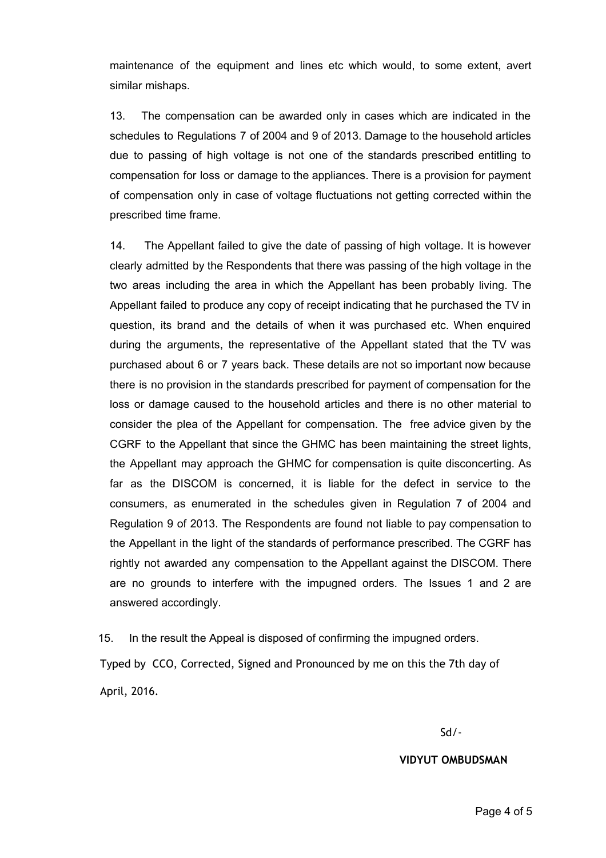maintenance of the equipment and lines etc which would, to some extent, avert similar mishaps.

13. The compensation can be awarded only in cases which are indicated in the schedules to Regulations 7 of 2004 and 9 of 2013. Damage to the household articles due to passing of high voltage is not one of the standards prescribed entitling to compensation for loss or damage to the appliances. There is a provision for payment of compensation only in case of voltage fluctuations not getting corrected within the prescribed time frame.

14. The Appellant failed to give the date of passing of high voltage. It is however clearly admitted by the Respondents that there was passing of the high voltage in the two areas including the area in which the Appellant has been probably living. The Appellant failed to produce any copy of receipt indicating that he purchased the TV in question, its brand and the details of when it was purchased etc. When enquired during the arguments, the representative of the Appellant stated that the TV was purchased about 6 or 7 years back. These details are not so important now because there is no provision in the standards prescribed for payment of compensation for the loss or damage caused to the household articles and there is no other material to consider the plea of the Appellant for compensation. The free advice given by the CGRF to the Appellant that since the GHMC has been maintaining the street lights, the Appellant may approach the GHMC for compensation is quite disconcerting. As far as the DISCOM is concerned, it is liable for the defect in service to the consumers, as enumerated in the schedules given in Regulation 7 of 2004 and Regulation 9 of 2013. The Respondents are found not liable to pay compensation to the Appellant in the light of the standards of performance prescribed. The CGRF has rightly not awarded any compensation to the Appellant against the DISCOM. There are no grounds to interfere with the impugned orders. The Issues 1 and 2 are answered accordingly.

15. In the result the Appeal is disposed of confirming the impugned orders.

Typed by CCO, Corrected, Signed and Pronounced by me on this the 7th day of April, 2016.

Sd/‐

**VIDYUT OMBUDSMAN**